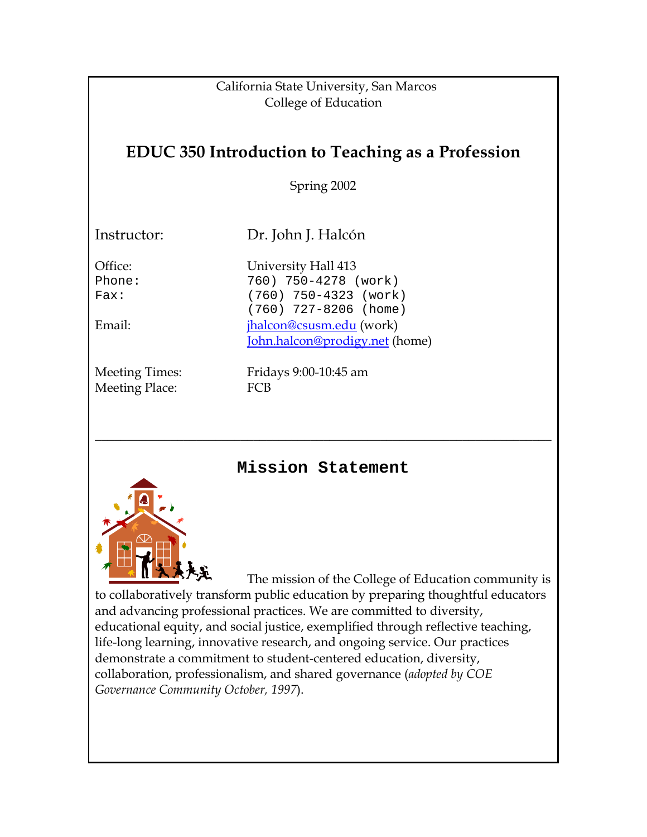California State University, San Marcos College of Education

## **EDUC 350 Introduction to Teaching as a Profession**

Spring 2002

## Instructor: Dr. John J. Halcón

Office: University Hall 413 Phone: 760) 750-4278 (work)<br>Fax: (760) 750-4323 (work (760) 750-4323 (work) (760) 727-8206 (home) Email: [jhalcon@csusm.edu](mailto:jhalcon@csusm.edu) (work) [John.halcon@prodigy.net](mailto:John.halcon@prodigy.net) (home)

Meeting Place: FCB

Meeting Times: Fridays 9:00-10:45 am

### **Mission Statement**

 $\_$  , and the set of the set of the set of the set of the set of the set of the set of the set of the set of the set of the set of the set of the set of the set of the set of the set of the set of the set of the set of th

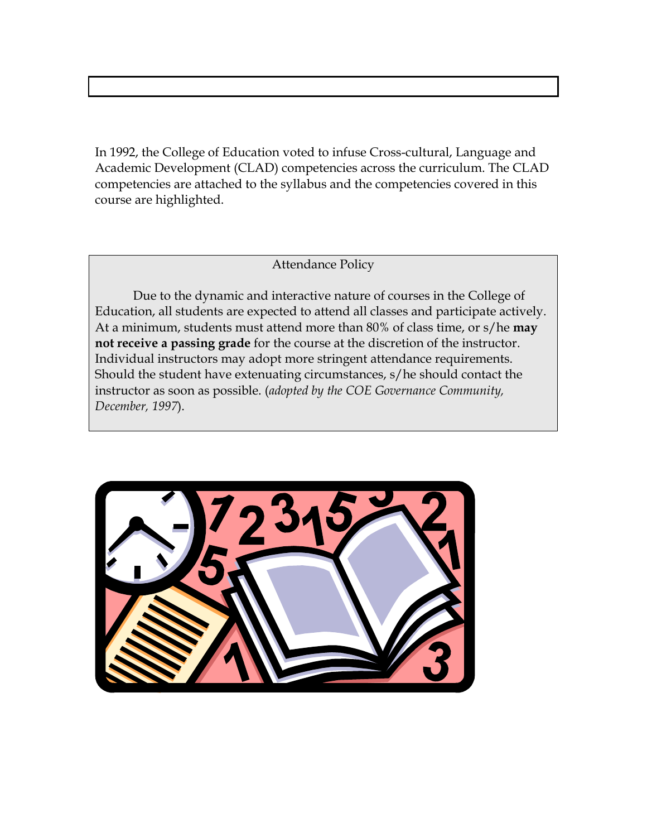In 1992, the College of Education voted to infuse Cross-cultural, Language and Academic Development (CLAD) competencies across the curriculum. The CLAD competencies are attached to the syllabus and the competencies covered in this course are highlighted.

#### Attendance Policy

Due to the dynamic and interactive nature of courses in the College of Education, all students are expected to attend all classes and participate actively. At a minimum, students must attend more than 80% of class time, or s/he **may not receive a passing grade** for the course at the discretion of the instructor. Individual instructors may adopt more stringent attendance requirements. Should the student have extenuating circumstances, s/he should contact the instructor as soon as possible. (*adopted by the COE Governance Community, December, 1997*).

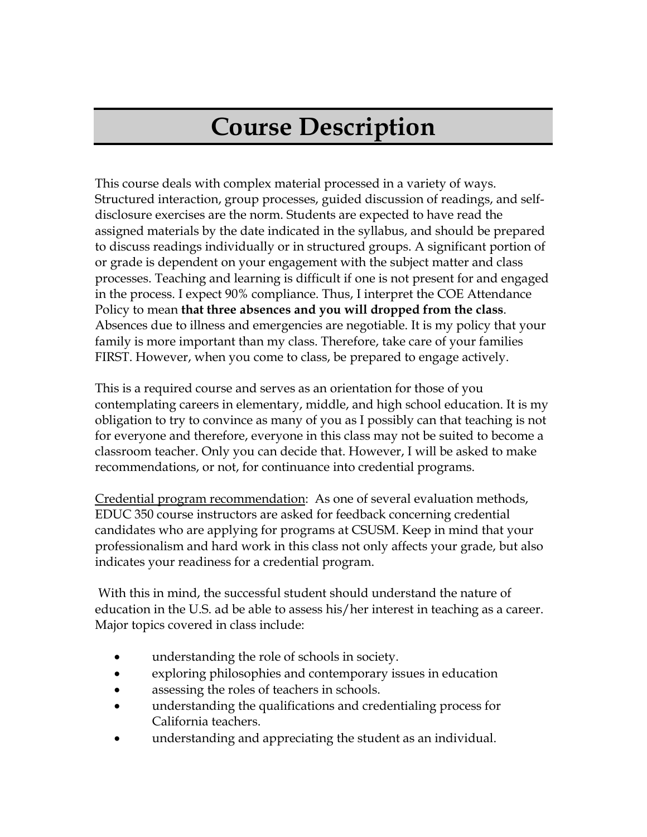# **Course Description**

This course deals with complex material processed in a variety of ways. Structured interaction, group processes, guided discussion of readings, and selfdisclosure exercises are the norm. Students are expected to have read the assigned materials by the date indicated in the syllabus, and should be prepared to discuss readings individually or in structured groups. A significant portion of or grade is dependent on your engagement with the subject matter and class processes. Teaching and learning is difficult if one is not present for and engaged in the process. I expect 90% compliance. Thus, I interpret the COE Attendance Policy to mean **that three absences and you will dropped from the class**. Absences due to illness and emergencies are negotiable. It is my policy that your family is more important than my class. Therefore, take care of your families FIRST. However, when you come to class, be prepared to engage actively.

This is a required course and serves as an orientation for those of you contemplating careers in elementary, middle, and high school education. It is my obligation to try to convince as many of you as I possibly can that teaching is not for everyone and therefore, everyone in this class may not be suited to become a classroom teacher. Only you can decide that. However, I will be asked to make recommendations, or not, for continuance into credential programs.

Credential program recommendation: As one of several evaluation methods, EDUC 350 course instructors are asked for feedback concerning credential candidates who are applying for programs at CSUSM. Keep in mind that your professionalism and hard work in this class not only affects your grade, but also indicates your readiness for a credential program.

With this in mind, the successful student should understand the nature of education in the U.S. ad be able to assess his/her interest in teaching as a career. Major topics covered in class include:

- understanding the role of schools in society.
- exploring philosophies and contemporary issues in education
- assessing the roles of teachers in schools.
- understanding the qualifications and credentialing process for California teachers.
- understanding and appreciating the student as an individual.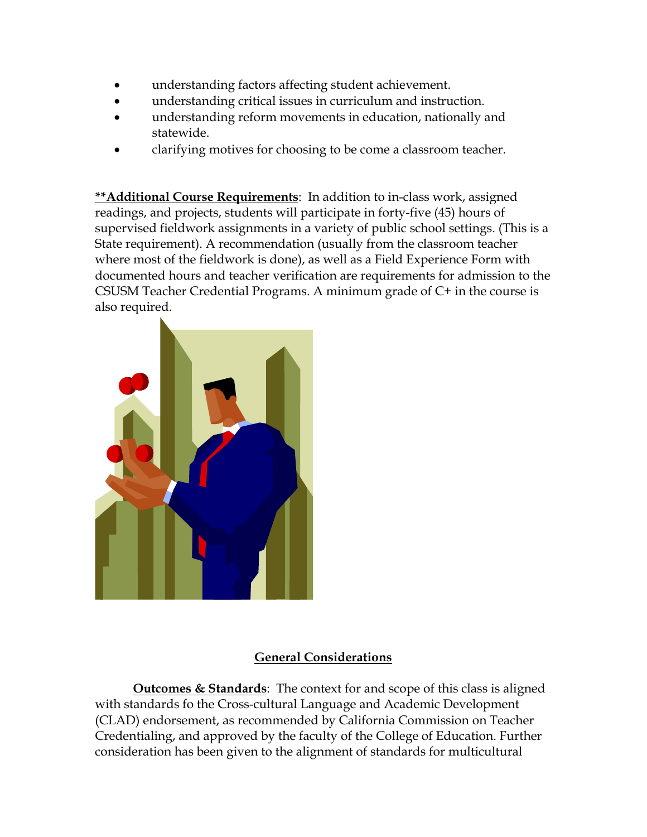- understanding factors affecting student achievement.
- understanding critical issues in curriculum and instruction.
- understanding reform movements in education, nationally and statewide.
- clarifying motives for choosing to be come a classroom teacher.

**\*\*Additional Course Requirements**: In addition to in-class work, assigned readings, and projects, students will participate in forty-five (45) hours of supervised fieldwork assignments in a variety of public school settings. (This is a State requirement). A recommendation (usually from the classroom teacher where most of the fieldwork is done), as well as a Field Experience Form with documented hours and teacher verification are requirements for admission to the CSUSM Teacher Credential Programs. A minimum grade of C+ in the course is also required.



### **General Considerations**

**Outcomes & Standards**: The context for and scope of this class is aligned with standards fo the Cross-cultural Language and Academic Development (CLAD) endorsement, as recommended by California Commission on Teacher Credentialing, and approved by the faculty of the College of Education. Further consideration has been given to the alignment of standards for multicultural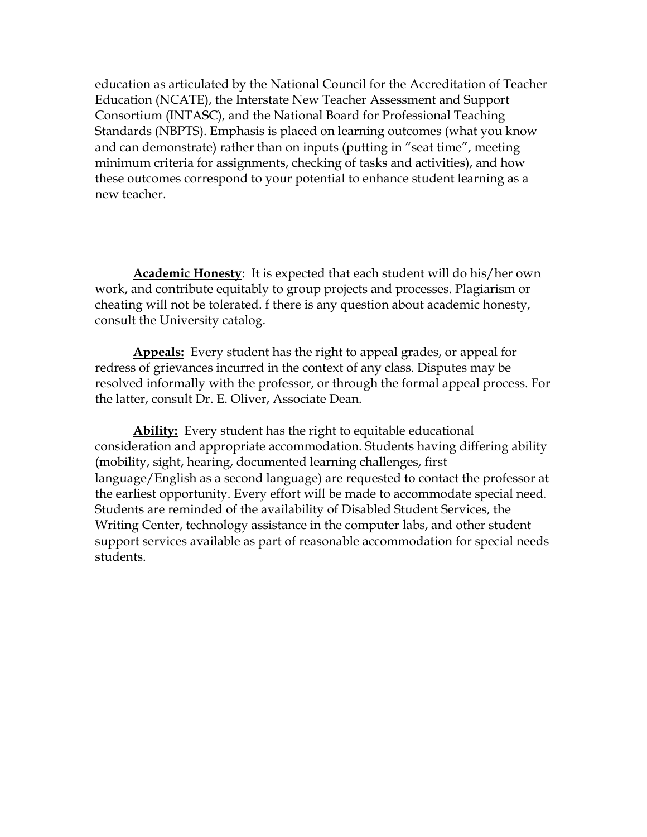education as articulated by the National Council for the Accreditation of Teacher Education (NCATE), the Interstate New Teacher Assessment and Support Consortium (INTASC), and the National Board for Professional Teaching Standards (NBPTS). Emphasis is placed on learning outcomes (what you know and can demonstrate) rather than on inputs (putting in "seat time", meeting minimum criteria for assignments, checking of tasks and activities), and how these outcomes correspond to your potential to enhance student learning as a new teacher.

**Academic Honesty**: It is expected that each student will do his/her own work, and contribute equitably to group projects and processes. Plagiarism or cheating will not be tolerated. f there is any question about academic honesty, consult the University catalog.

**Appeals:** Every student has the right to appeal grades, or appeal for redress of grievances incurred in the context of any class. Disputes may be resolved informally with the professor, or through the formal appeal process. For the latter, consult Dr. E. Oliver, Associate Dean.

**Ability:** Every student has the right to equitable educational consideration and appropriate accommodation. Students having differing ability (mobility, sight, hearing, documented learning challenges, first language/English as a second language) are requested to contact the professor at the earliest opportunity. Every effort will be made to accommodate special need. Students are reminded of the availability of Disabled Student Services, the Writing Center, technology assistance in the computer labs, and other student support services available as part of reasonable accommodation for special needs students.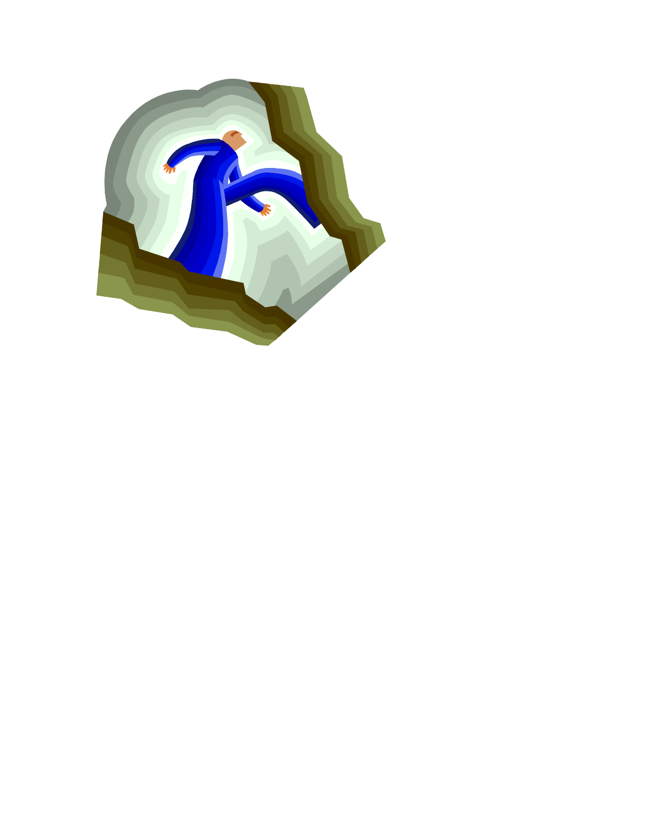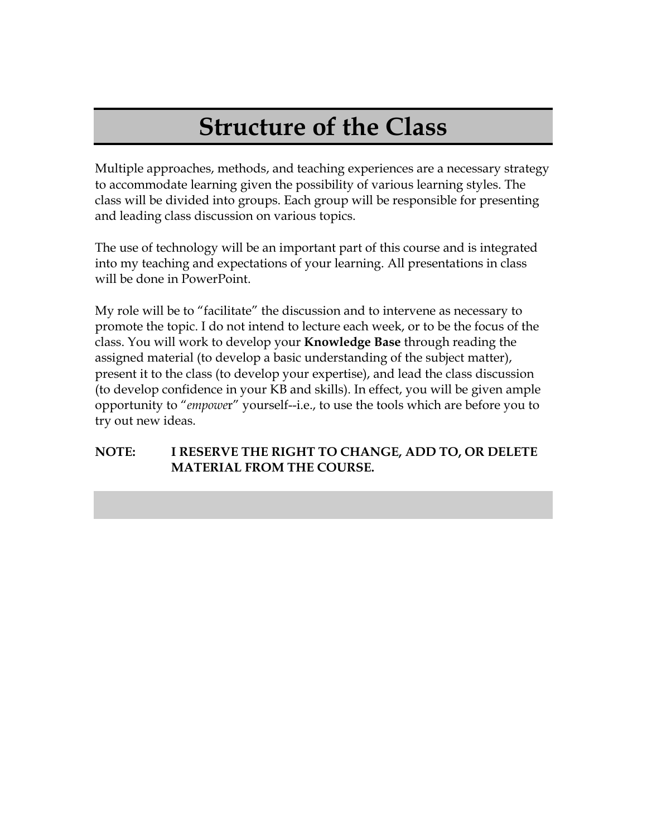# **Structure of the Class**

Multiple approaches, methods, and teaching experiences are a necessary strategy to accommodate learning given the possibility of various learning styles. The class will be divided into groups. Each group will be responsible for presenting and leading class discussion on various topics.

The use of technology will be an important part of this course and is integrated into my teaching and expectations of your learning. All presentations in class will be done in PowerPoint.

My role will be to "facilitate" the discussion and to intervene as necessary to promote the topic. I do not intend to lecture each week, or to be the focus of the class. You will work to develop your **Knowledge Base** through reading the assigned material (to develop a basic understanding of the subject matter), present it to the class (to develop your expertise), and lead the class discussion (to develop confidence in your KB and skills). In effect, you will be given ample opportunity to "*empowe*r" yourself--i.e., to use the tools which are before you to try out new ideas.

#### **NOTE: I RESERVE THE RIGHT TO CHANGE, ADD TO, OR DELETE MATERIAL FROM THE COURSE.**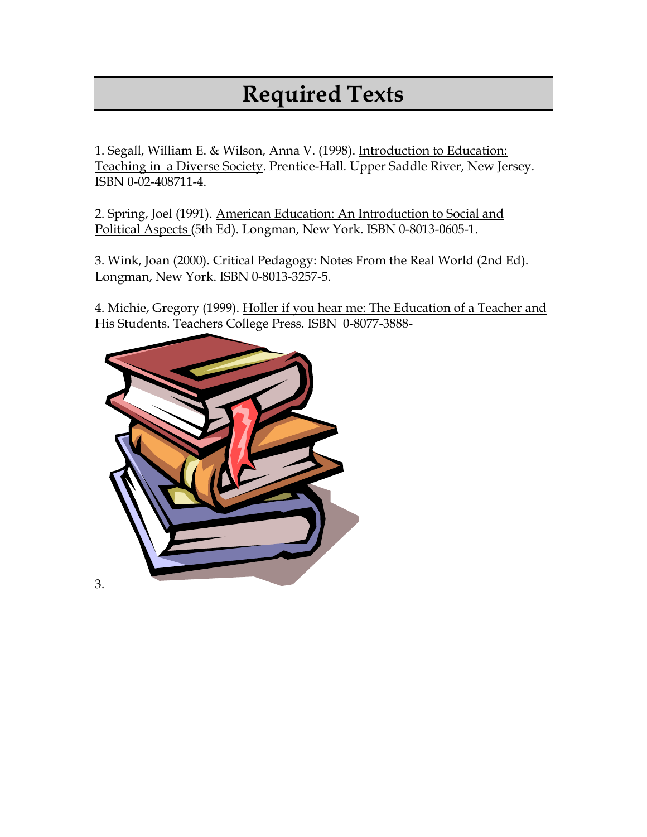# **Required Texts**

1. Segall, William E. & Wilson, Anna V. (1998). Introduction to Education: Teaching in a Diverse Society. Prentice-Hall. Upper Saddle River, New Jersey. ISBN 0-02-408711-4.

2. Spring, Joel (1991). American Education: An Introduction to Social and Political Aspects (5th Ed). Longman, New York. ISBN 0-8013-0605-1.

3. Wink, Joan (2000). Critical Pedagogy: Notes From the Real World (2nd Ed). Longman, New York. ISBN 0-8013-3257-5.

4. Michie, Gregory (1999). Holler if you hear me: The Education of a Teacher and His Students. Teachers College Press. ISBN 0-8077-3888-

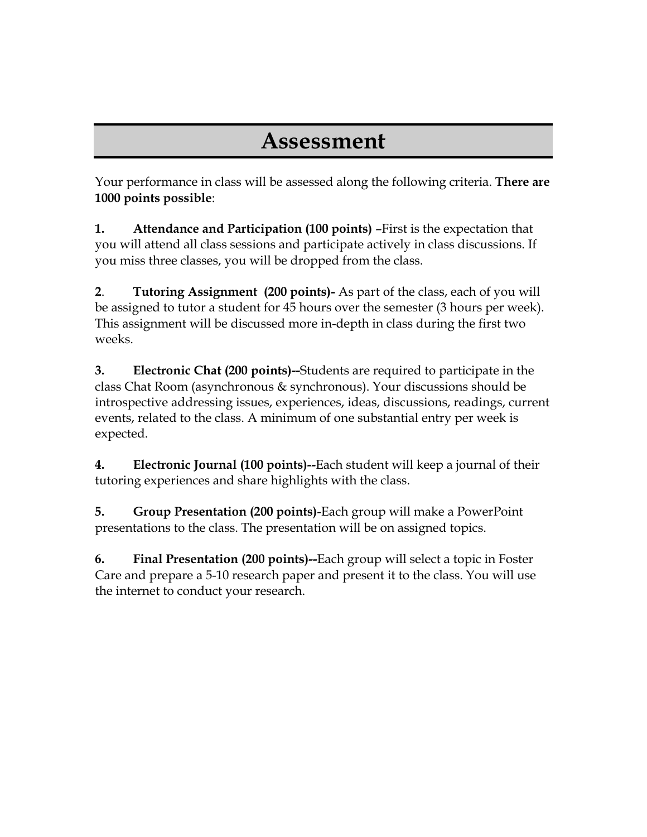# **Assessment**

Your performance in class will be assessed along the following criteria. **There are 1000 points possible**:

**1. Attendance and Participation (100 points)** –First is the expectation that you will attend all class sessions and participate actively in class discussions. If you miss three classes, you will be dropped from the class.

**2**. **Tutoring Assignment (200 points)-** As part of the class, each of you will be assigned to tutor a student for 45 hours over the semester (3 hours per week). This assignment will be discussed more in-depth in class during the first two weeks.

**3. Electronic Chat (200 points)--**Students are required to participate in the class Chat Room (asynchronous & synchronous). Your discussions should be introspective addressing issues, experiences, ideas, discussions, readings, current events, related to the class. A minimum of one substantial entry per week is expected.

**4. Electronic Journal (100 points)--**Each student will keep a journal of their tutoring experiences and share highlights with the class.

**5. Group Presentation (200 points)**-Each group will make a PowerPoint presentations to the class. The presentation will be on assigned topics.

**6. Final Presentation (200 points)--**Each group will select a topic in Foster Care and prepare a 5-10 research paper and present it to the class. You will use the internet to conduct your research.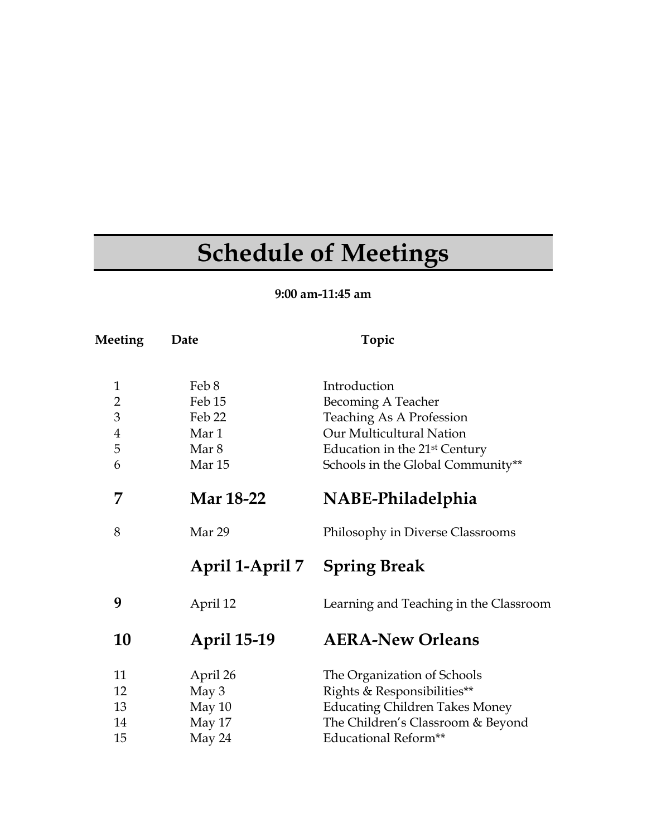# **Schedule of Meetings**

### **9:00 am-11:45 am**

| Meeting        | Date               | Topic                                     |
|----------------|--------------------|-------------------------------------------|
| $\mathbf{1}$   | Feb 8              | Introduction                              |
| $\overline{2}$ | Feb 15             | <b>Becoming A Teacher</b>                 |
| 3              | Feb 22             | Teaching As A Profession                  |
| $\overline{4}$ | Mar 1              | Our Multicultural Nation                  |
| 5              | Mar 8              | Education in the 21 <sup>st</sup> Century |
| 6              | Mar 15             | Schools in the Global Community**         |
| 7              | <b>Mar 18-22</b>   | NABE-Philadelphia                         |
| 8              | Mar 29             | Philosophy in Diverse Classrooms          |
|                | April 1-April 7    | <b>Spring Break</b>                       |
| 9              | April 12           | Learning and Teaching in the Classroom    |
| 10             | <b>April 15-19</b> | <b>AERA-New Orleans</b>                   |
| 11             | April 26           | The Organization of Schools               |
| 12             | May 3              | Rights & Responsibilities**               |
| 13             | May 10             | <b>Educating Children Takes Money</b>     |
| 14             | May 17             | The Children's Classroom & Beyond         |
| 15             | May 24             | <b>Educational Reform**</b>               |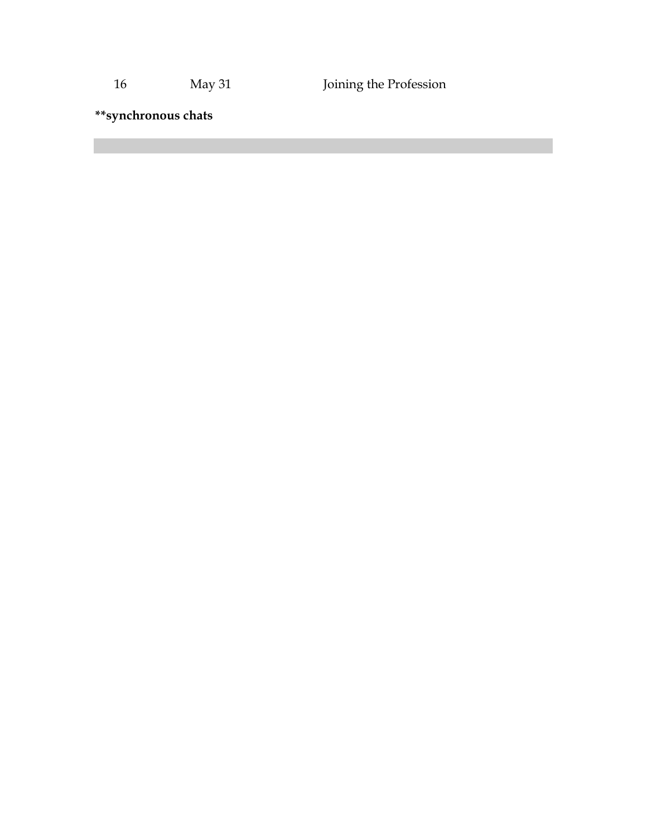16 May 31 Joining the Profession

**\*\*synchronous chats**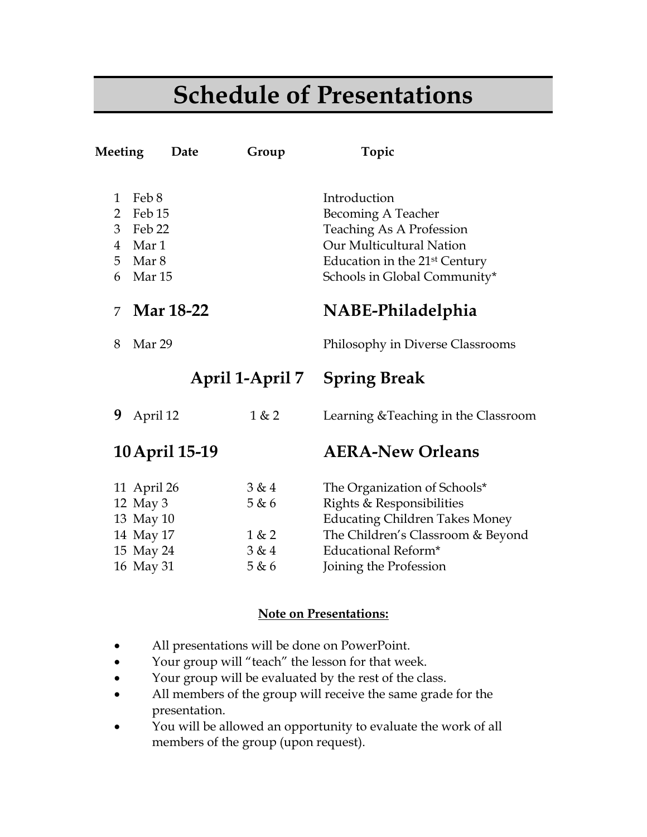# **Schedule of Presentations**

| Meeting        | Date           | Group           | Topic                                     |
|----------------|----------------|-----------------|-------------------------------------------|
| $\mathbf{1}$   | Feb 8          |                 | Introduction                              |
| $\overline{2}$ | Feb 15         |                 | Becoming A Teacher                        |
|                | 3 Feb 22       |                 | Teaching As A Profession                  |
| 4              | Mar 1          |                 | Our Multicultural Nation                  |
| 5              | Mar 8          |                 | Education in the 21 <sup>st</sup> Century |
| 6              | Mar 15         |                 | Schools in Global Community*              |
|                |                |                 |                                           |
|                | 7 Mar 18-22    |                 | <b>NABE-Philadelphia</b>                  |
| 8              | Mar 29         |                 | Philosophy in Diverse Classrooms          |
|                |                | April 1-April 7 | <b>Spring Break</b>                       |
| 9              | April 12       | 1 & 2           | Learning & Teaching in the Classroom      |
|                | 10 April 15-19 |                 | <b>AERA-New Orleans</b>                   |
|                | 11 April 26    | 3 & 4           | The Organization of Schools*              |
|                | 12 May 3       | 5 & 6           | Rights & Responsibilities                 |
|                | 13 May 10      |                 | <b>Educating Children Takes Money</b>     |
|                | 14 May 17      | 1 & 2           | The Children's Classroom & Beyond         |
|                | 15 May 24      | 3 & 4           | Educational Reform <sup>*</sup>           |
|                | 16 May 31      | 5 & 6           | Joining the Profession                    |
|                |                |                 |                                           |

#### **Note on Presentations:**

- All presentations will be done on PowerPoint.
- Your group will "teach" the lesson for that week.
- Your group will be evaluated by the rest of the class.
- All members of the group will receive the same grade for the presentation.
- You will be allowed an opportunity to evaluate the work of all members of the group (upon request).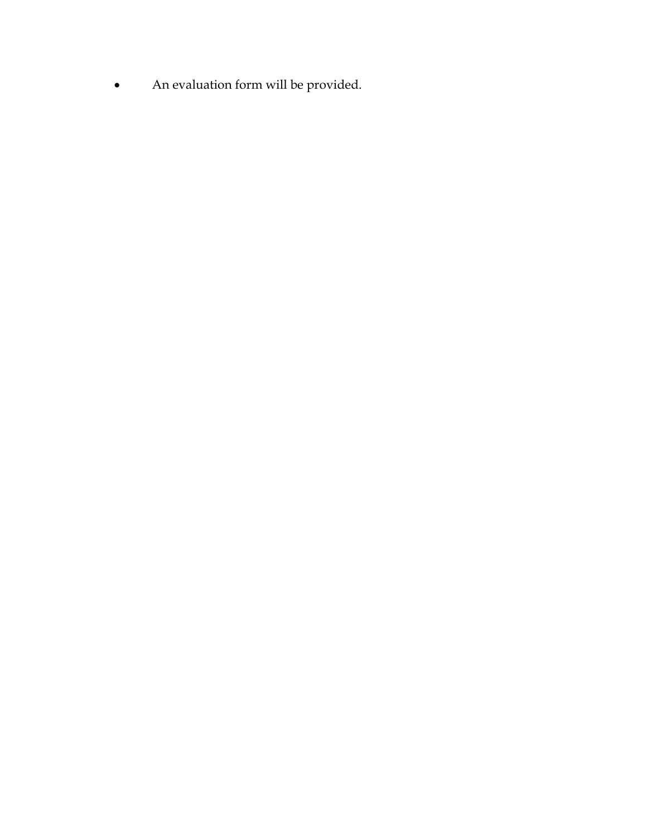• An evaluation form will be provided.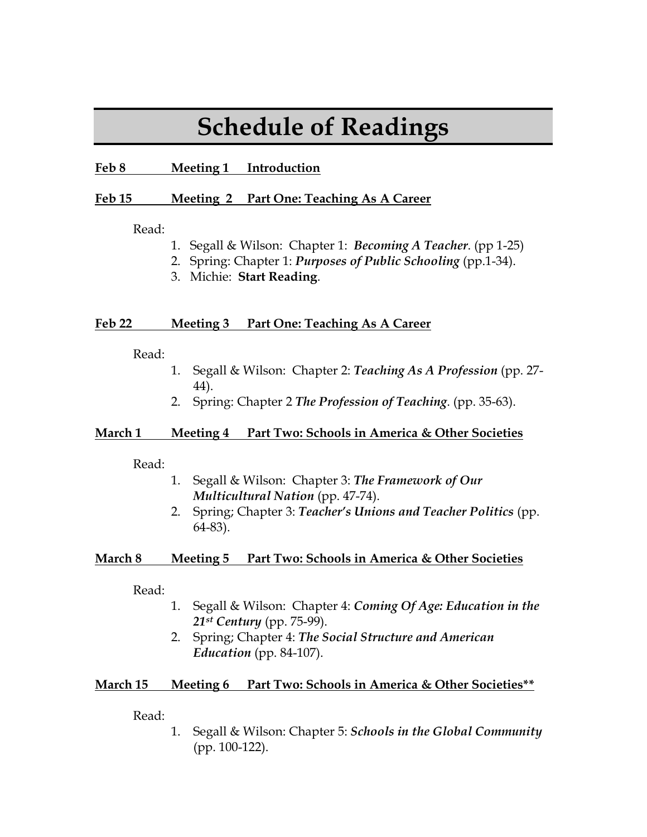# **Schedule of Readings**

### **Feb 8 Meeting 1 Introduction**

#### **Feb 15 Meeting 2 Part One: Teaching As A Career**

Read:

- 1. Segall & Wilson: Chapter 1: *Becoming A Teacher*. (pp 1-25)
- 2. Spring: Chapter 1: *Purposes of Public Schooling* (pp.1-34).
- 3. Michie: **Start Reading**.

#### **Feb 22 Meeting 3 Part One: Teaching As A Career**

Read:

- 1. Segall & Wilson: Chapter 2: *Teaching As A Profession* (pp. 27- 44).
- 2. Spring: Chapter 2 *The Profession of Teaching*. (pp. 35-63).

#### **March 1 Meeting 4 Part Two: Schools in America & Other Societies**

Read:

- 1. Segall & Wilson: Chapter 3: *The Framework of Our Multicultural Nation* (pp. 47-74).
- 2. Spring; Chapter 3: *Teacher's Unions and Teacher Politics* (pp. 64-83).

#### **March 8 Meeting 5 Part Two: Schools in America & Other Societies**

Read:

- 1. Segall & Wilson: Chapter 4: *Coming Of Age: Education in the 21st Century* (pp. 75-99).
- 2. Spring; Chapter 4: *The Social Structure and American Education* (pp. 84-107).

#### **March 15 Meeting 6 Part Two: Schools in America & Other Societies\*\***

Read:

1. Segall & Wilson: Chapter 5: *Schools in the Global Community* (pp. 100-122).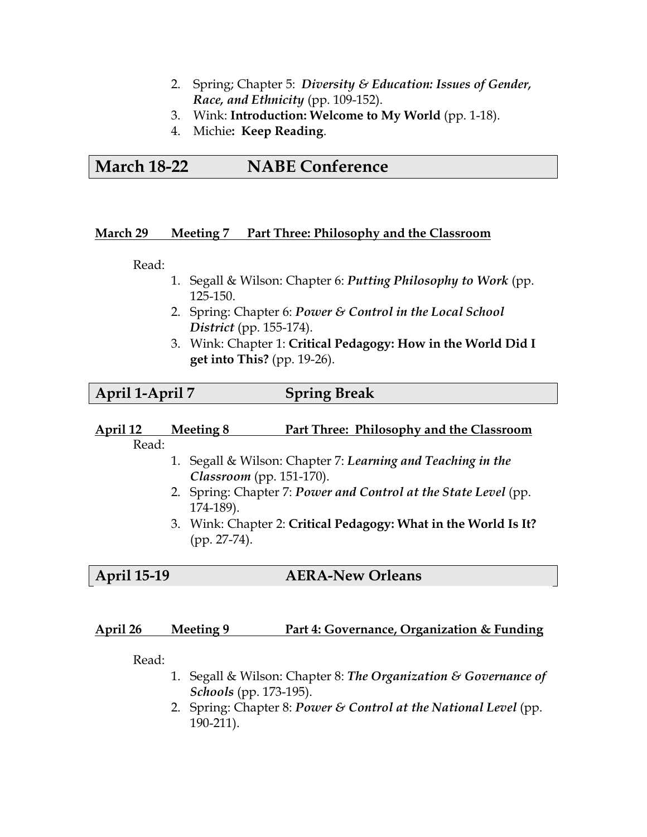- 2. Spring; Chapter 5: *Diversity & Education: Issues of Gender, Race, and Ethnicity* (pp. 109-152).
- 3. Wink: **Introduction: Welcome to My World** (pp. 1-18).
- 4. Michie**: Keep Reading**.

### **March 18-22 NABE Conference**

#### **March 29 Meeting 7 Part Three: Philosophy and the Classroom**

Read:

- 1. Segall & Wilson: Chapter 6: *Putting Philosophy to Work* (pp. 125-150.
- 2. Spring: Chapter 6: *Power & Control in the Local School District* (pp. 155-174).
- 3. Wink: Chapter 1: **Critical Pedagogy: How in the World Did I get into This?** (pp. 19-26).

### **April 1-April 7 Spring Break**

#### **April 12 Meeting 8 Part Three: Philosophy and the Classroom** Read:

- 1. Segall & Wilson: Chapter 7: *Learning and Teaching in the Classroom* (pp. 151-170).
- 2. Spring: Chapter 7: *Power and Control at the State Level* (pp. 174-189).
- 3. Wink: Chapter 2: **Critical Pedagogy: What in the World Is It?** (pp. 27-74).

#### **April 15-19 AERA-New Orleans**

#### **April 26 Meeting 9 Part 4: Governance, Organization & Funding**

Read:

- 1. Segall & Wilson: Chapter 8: *The Organization & Governance of Schools* (pp. 173-195).
- 2. Spring: Chapter 8: *Power & Control at the National Level* (pp. 190-211).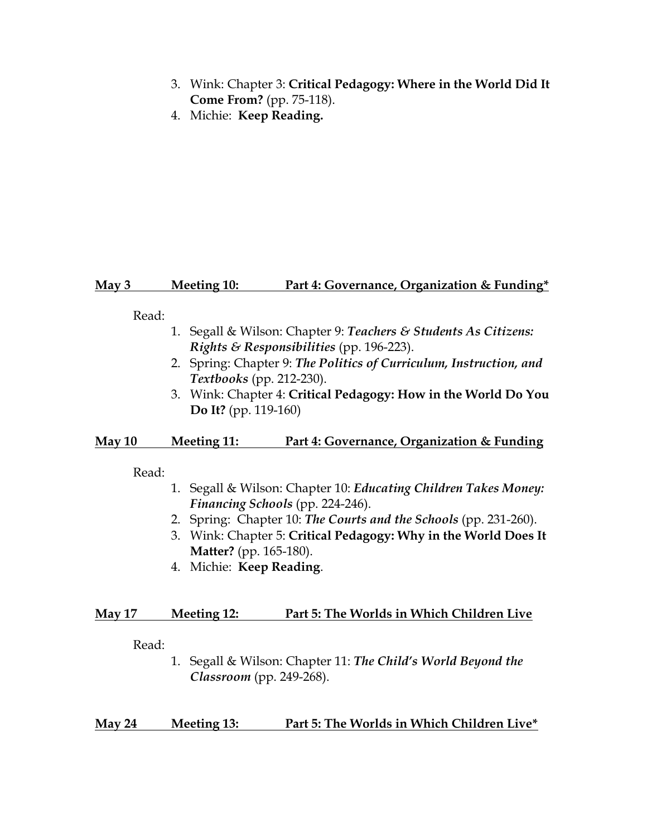- 3. Wink: Chapter 3: **Critical Pedagogy: Where in the World Did It Come From?** (pp. 75-118).
- 4. Michie: **Keep Reading.**

#### **May 3 Meeting 10: Part 4: Governance, Organization & Funding\***

#### Read:

- 1. Segall & Wilson: Chapter 9: *Teachers & Students As Citizens: Rights & Responsibilities* (pp. 196-223).
- 2. Spring: Chapter 9: *The Politics of Curriculum, Instruction, and Textbooks* (pp. 212-230).
- 3. Wink: Chapter 4: **Critical Pedagogy: How in the World Do You Do It?** (pp. 119-160)

#### **May 10 Meeting 11: Part 4: Governance, Organization & Funding**

Read:

- 1. Segall & Wilson: Chapter 10: *Educating Children Takes Money: Financing Schools* (pp. 224-246).
- 2. Spring: Chapter 10: *The Courts and the Schools* (pp. 231-260).
- 3. Wink: Chapter 5: **Critical Pedagogy: Why in the World Does It Matter?** (pp. 165-180).
- 4. Michie: **Keep Reading**.

#### **May 17 Meeting 12: Part 5: The Worlds in Which Children Live**

Read:

1. Segall & Wilson: Chapter 11: *The Child's World Beyond the Classroom* (pp. 249-268).

**May 24 Meeting 13: Part 5: The Worlds in Which Children Live\***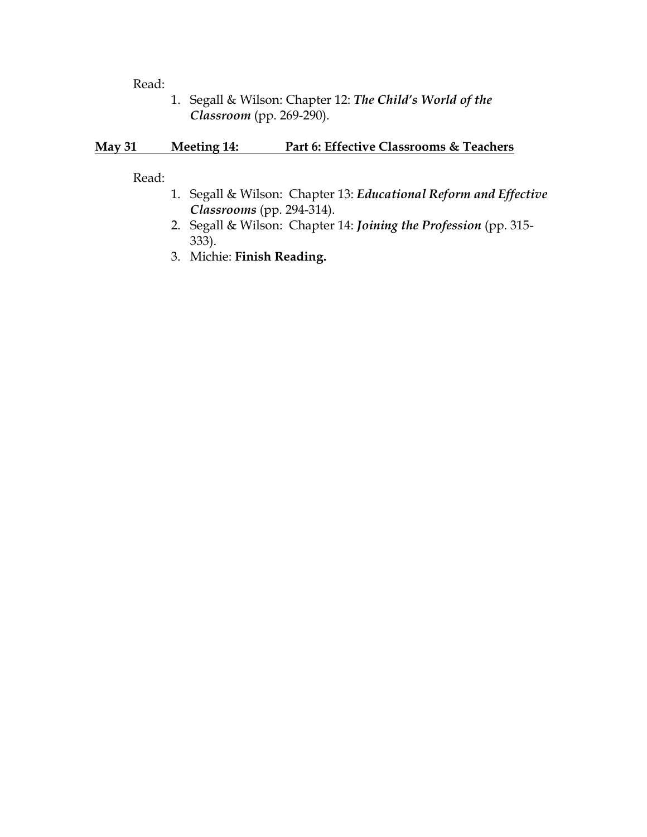Read:

1. Segall & Wilson: Chapter 12: *The Child's World of the Classroom* (pp. 269-290).

### **May 31 Meeting 14: Part 6: Effective Classrooms & Teachers**

Read:

- 1. Segall & Wilson: Chapter 13: *Educational Reform and Effective Classrooms* (pp. 294-314).
- 2. Segall & Wilson: Chapter 14: *Joining the Profession* (pp. 315- 333).
- 3. Michie: **Finish Reading.**